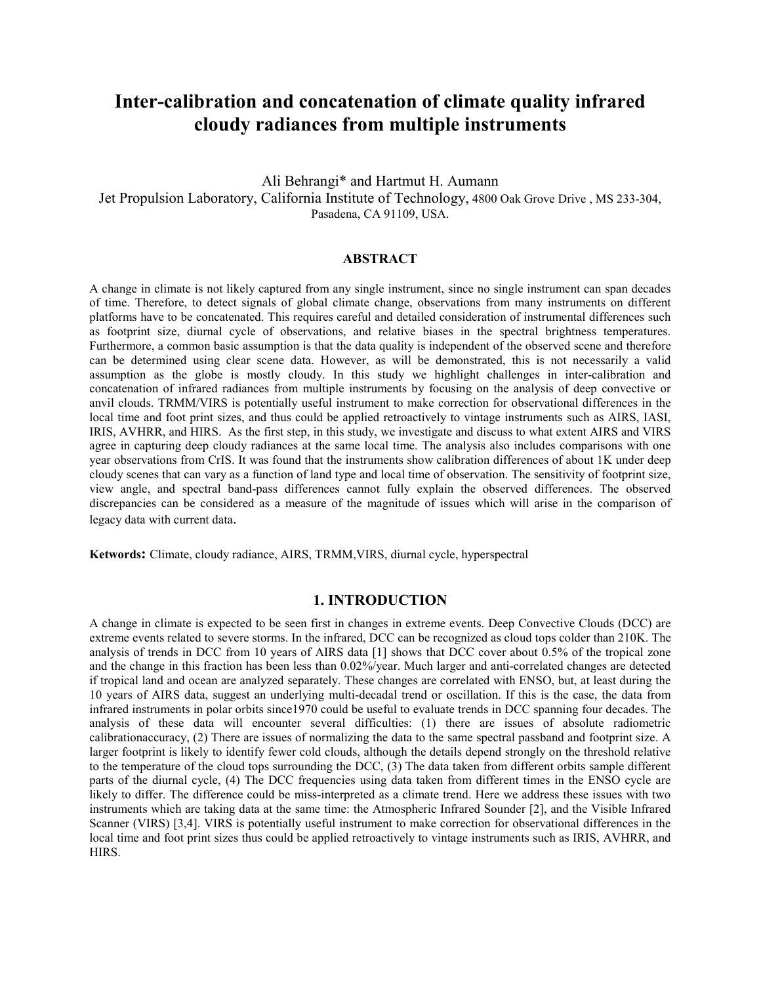# **Inter-calibration and concatenation of climate quality infrared cloudy radiances from multiple instruments**

# Ali Behrangi\* and Hartmut H. Aumann Jet Propulsion Laboratory, California Institute of Technology, 4800 Oak Grove Drive , MS 233-304, Pasadena, CA 91109, USA.

## **ABSTRACT**

A change in climate is not likely captured from any single instrument, since no single instrument can span decades of time. Therefore, to detect signals of global climate change, observations from many instruments on different platforms have to be concatenated. This requires careful and detailed consideration of instrumental differences such as footprint size, diurnal cycle of observations, and relative biases in the spectral brightness temperatures. Furthermore, a common basic assumption is that the data quality is independent of the observed scene and therefore can be determined using clear scene data. However, as will be demonstrated, this is not necessarily a valid assumption as the globe is mostly cloudy. In this study we highlight challenges in inter-calibration and concatenation of infrared radiances from multiple instruments by focusing on the analysis of deep convective or anvil clouds. TRMM/VIRS is potentially useful instrument to make correction for observational differences in the local time and foot print sizes, and thus could be applied retroactively to vintage instruments such as AIRS, IASI, IRIS, AVHRR, and HIRS. As the first step, in this study, we investigate and discuss to what extent AIRS and VIRS agree in capturing deep cloudy radiances at the same local time. The analysis also includes comparisons with one year observations from CrIS. It was found that the instruments show calibration differences of about 1K under deep cloudy scenes that can vary as a function of land type and local time of observation. The sensitivity of footprint size, view angle, and spectral band-pass differences cannot fully explain the observed differences. The observed discrepancies can be considered as a measure of the magnitude of issues which will arise in the comparison of legacy data with current data.

**Ketwords:** Climate, cloudy radiance, AIRS, TRMM,VIRS, diurnal cycle, hyperspectral

# **1. INTRODUCTION**

A change in climate is expected to be seen first in changes in extreme events. Deep Convective Clouds (DCC) are extreme events related to severe storms. In the infrared, DCC can be recognized as cloud tops colder than 210K. The analysis of trends in DCC from 10 years of AIRS data [1] shows that DCC cover about 0.5% of the tropical zone and the change in this fraction has been less than 0.02%/year. Much larger and anti-correlated changes are detected if tropical land and ocean are analyzed separately. These changes are correlated with ENSO, but, at least during the 10 years of AIRS data, suggest an underlying multi-decadal trend or oscillation. If this is the case, the data from infrared instruments in polar orbits since1970 could be useful to evaluate trends in DCC spanning four decades. The analysis of these data will encounter several difficulties: (1) there are issues of absolute radiometric calibrationaccuracy, (2) There are issues of normalizing the data to the same spectral passband and footprint size. A larger footprint is likely to identify fewer cold clouds, although the details depend strongly on the threshold relative to the temperature of the cloud tops surrounding the DCC, (3) The data taken from different orbits sample different parts of the diurnal cycle, (4) The DCC frequencies using data taken from different times in the ENSO cycle are likely to differ. The difference could be miss-interpreted as a climate trend. Here we address these issues with two instruments which are taking data at the same time: the Atmospheric Infrared Sounder [2], and the Visible Infrared Scanner (VIRS) [3,4]. VIRS is potentially useful instrument to make correction for observational differences in the local time and foot print sizes thus could be applied retroactively to vintage instruments such as IRIS, AVHRR, and HIRS.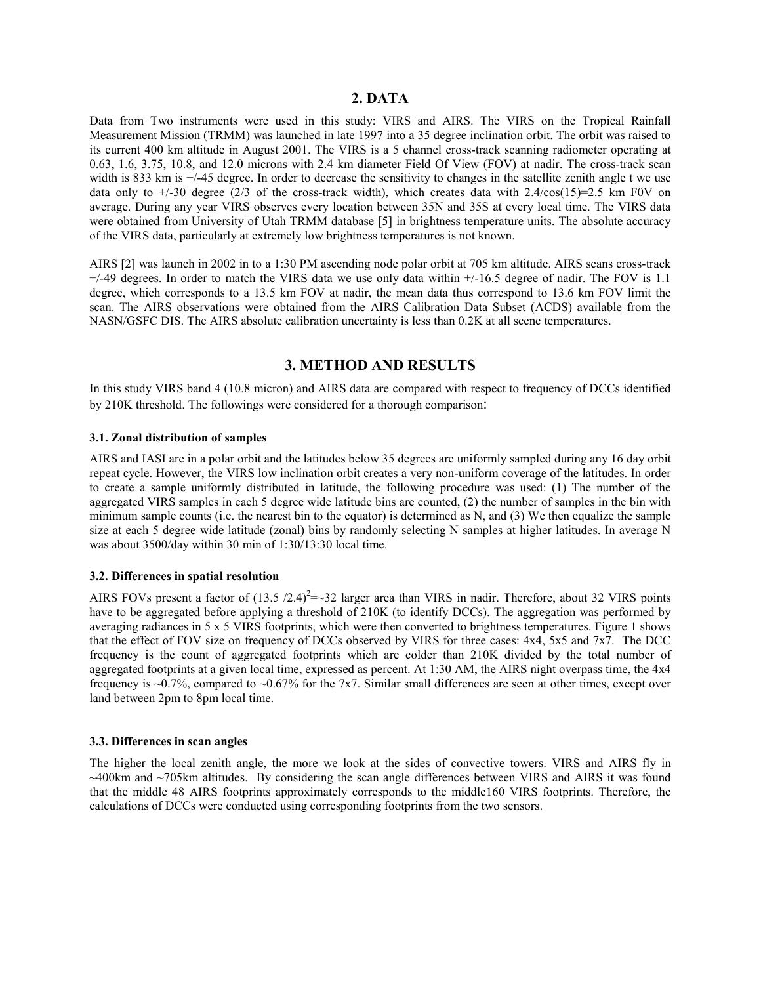# **2. DATA**

Data from Two instruments were used in this study: VIRS and AIRS. The VIRS on the Tropical Rainfall Measurement Mission (TRMM) was launched in late 1997 into a 35 degree inclination orbit. The orbit was raised to its current 400 km altitude in August 2001. The VIRS is a 5 channel cross-track scanning radiometer operating at 0.63, 1.6, 3.75, 10.8, and 12.0 microns with 2.4 km diameter Field Of View (FOV) at nadir. The cross-track scan width is 833 km is  $+/45$  degree. In order to decrease the sensitivity to changes in the satellite zenith angle t we use data only to  $\pm$ /-30 degree (2/3 of the cross-track width), which creates data with 2.4/cos(15)=2.5 km F0V on average. During any year VIRS observes every location between 35N and 35S at every local time. The VIRS data were obtained from University of Utah TRMM database [5] in brightness temperature units. The absolute accuracy of the VIRS data, particularly at extremely low brightness temperatures is not known.

AIRS [2] was launch in 2002 in to a 1:30 PM ascending node polar orbit at 705 km altitude. AIRS scans cross-track  $+/-49$  degrees. In order to match the VIRS data we use only data within  $+/-16.5$  degree of nadir. The FOV is 1.1 degree, which corresponds to a 13.5 km FOV at nadir, the mean data thus correspond to 13.6 km FOV limit the scan. The AIRS observations were obtained from the AIRS Calibration Data Subset (ACDS) available from the NASN/GSFC DIS. The AIRS absolute calibration uncertainty is less than 0.2K at all scene temperatures.

# **3. METHOD AND RESULTS**

In this study VIRS band 4 (10.8 micron) and AIRS data are compared with respect to frequency of DCCs identified by 210K threshold. The followings were considered for a thorough comparison:

## **3.1. Zonal distribution of samples**

AIRS and IASI are in a polar orbit and the latitudes below 35 degrees are uniformly sampled during any 16 day orbit repeat cycle. However, the VIRS low inclination orbit creates a very non-uniform coverage of the latitudes. In order to create a sample uniformly distributed in latitude, the following procedure was used: (1) The number of the aggregated VIRS samples in each 5 degree wide latitude bins are counted, (2) the number of samples in the bin with minimum sample counts (i.e. the nearest bin to the equator) is determined as N, and (3) We then equalize the sample size at each 5 degree wide latitude (zonal) bins by randomly selecting N samples at higher latitudes. In average N was about 3500/day within 30 min of 1:30/13:30 local time.

### **3.2. Differences in spatial resolution**

AIRS FOVs present a factor of  $(13.5 / 2.4)^2$  = 32 larger area than VIRS in nadir. Therefore, about 32 VIRS points have to be aggregated before applying a threshold of 210K (to identify DCCs). The aggregation was performed by averaging radiances in 5 x 5 VIRS footprints, which were then converted to brightness temperatures. Figure 1 shows that the effect of FOV size on frequency of DCCs observed by VIRS for three cases: 4x4, 5x5 and 7x7. The DCC frequency is the count of aggregated footprints which are colder than 210K divided by the total number of aggregated footprints at a given local time, expressed as percent. At 1:30 AM, the AIRS night overpass time, the 4x4 frequency is ~0.7%, compared to ~0.67% for the 7x7. Similar small differences are seen at other times, except over land between 2pm to 8pm local time.

#### **3.3. Differences in scan angles**

The higher the local zenith angle, the more we look at the sides of convective towers. VIRS and AIRS fly in  $\sim$ 400km and  $\sim$ 705km altitudes. By considering the scan angle differences between VIRS and AIRS it was found that the middle 48 AIRS footprints approximately corresponds to the middle160 VIRS footprints. Therefore, the calculations of DCCs were conducted using corresponding footprints from the two sensors.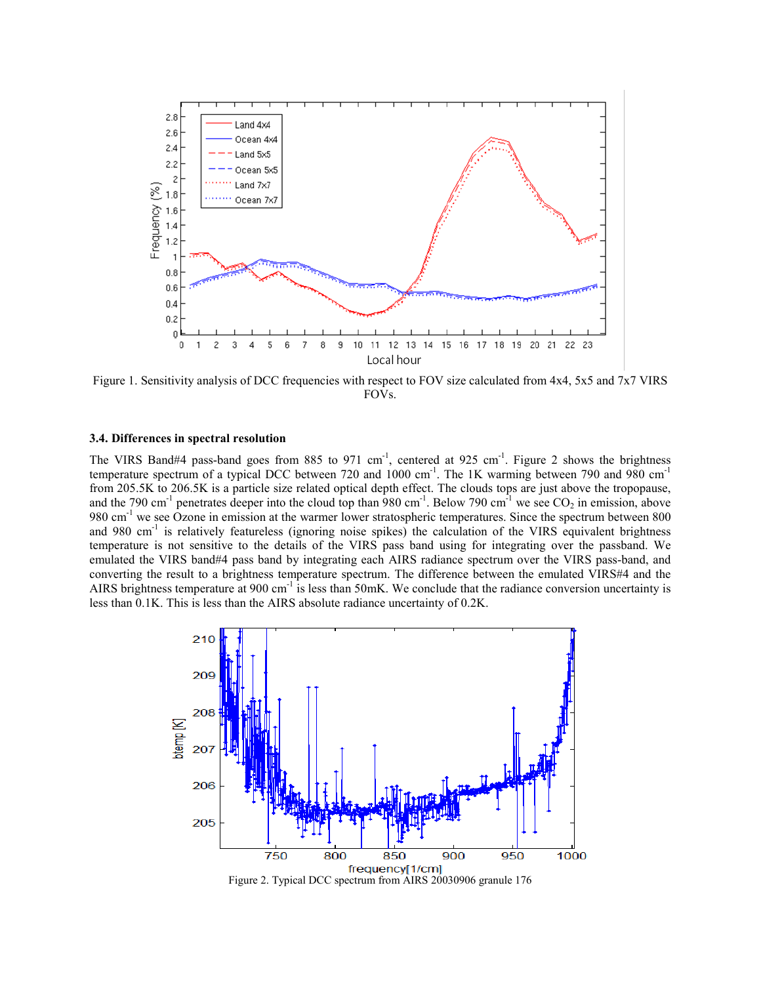

Figure 1. Sensitivity analysis of DCC frequencies with respect to FOV size calculated from 4x4, 5x5 and 7x7 VIRS FOVs.

## **3.4. Differences in spectral resolution**

The VIRS Band#4 pass-band goes from 885 to 971 cm<sup>-1</sup>, centered at 925 cm<sup>-1</sup>. Figure 2 shows the brightness temperature spectrum of a typical DCC between 720 and 1000 cm<sup>-1</sup>. The 1K warming between 790 and 980 cm<sup>-1</sup> from 205.5K to 206.5K is a particle size related optical depth effect. The clouds tops are just above the tropopause, and the 790 cm<sup>-1</sup> penetrates deeper into the cloud top than 980 cm<sup>-1</sup>. Below 790 cm<sup>-1</sup> we see  $CO_2$  in emission, above 980 cm<sup>-1</sup> we see Ozone in emission at the warmer lower stratospheric temperatures. Since the spectrum between 800 and 980 cm<sup>-1</sup> is relatively featureless (ignoring noise spikes) the calculation of the VIRS equivalent brightness temperature is not sensitive to the details of the VIRS pass band using for integrating over the passband. We emulated the VIRS band#4 pass band by integrating each AIRS radiance spectrum over the VIRS pass-band, and converting the result to a brightness temperature spectrum. The difference between the emulated VIRS#4 and the AIRS brightness temperature at 900 cm<sup>-1</sup> is less than 50mK. We conclude that the radiance conversion uncertainty is less than 0.1K. This is less than the AIRS absolute radiance uncertainty of 0.2K.



Figure 2. Typical DCC spectrum from AIRS 20030906 granule 176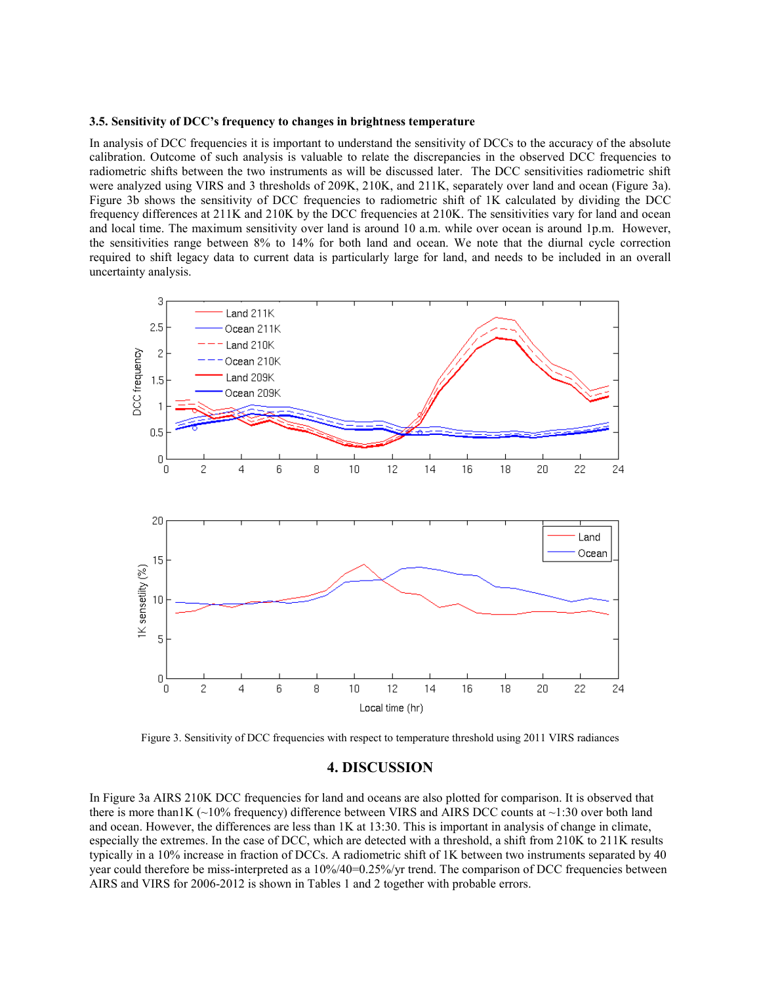## **3.5. Sensitivity of DCC's frequency to changes in brightness temperature**

In analysis of DCC frequencies it is important to understand the sensitivity of DCCs to the accuracy of the absolute calibration. Outcome of such analysis is valuable to relate the discrepancies in the observed DCC frequencies to radiometric shifts between the two instruments as will be discussed later. The DCC sensitivities radiometric shift were analyzed using VIRS and 3 thresholds of 209K, 210K, and 211K, separately over land and ocean (Figure 3a). Figure 3b shows the sensitivity of DCC frequencies to radiometric shift of 1K calculated by dividing the DCC frequency differences at 211K and 210K by the DCC frequencies at 210K. The sensitivities vary for land and ocean and local time. The maximum sensitivity over land is around 10 a.m. while over ocean is around 1p.m. However, the sensitivities range between 8% to 14% for both land and ocean. We note that the diurnal cycle correction required to shift legacy data to current data is particularly large for land, and needs to be included in an overall uncertainty analysis.



Figure 3. Sensitivity of DCC frequencies with respect to temperature threshold using 2011 VIRS radiances

# **4. DISCUSSION**

In Figure 3a AIRS 210K DCC frequencies for land and oceans are also plotted for comparison. It is observed that there is more than IK ( $\sim$ 10% frequency) difference between VIRS and AIRS DCC counts at  $\sim$ 1:30 over both land and ocean. However, the differences are less than 1K at 13:30. This is important in analysis of change in climate, especially the extremes. In the case of DCC, which are detected with a threshold, a shift from 210K to 211K results typically in a 10% increase in fraction of DCCs. A radiometric shift of 1K between two instruments separated by 40 year could therefore be miss-interpreted as a 10%/40=0.25%/yr trend. The comparison of DCC frequencies between AIRS and VIRS for 2006-2012 is shown in Tables 1 and 2 together with probable errors.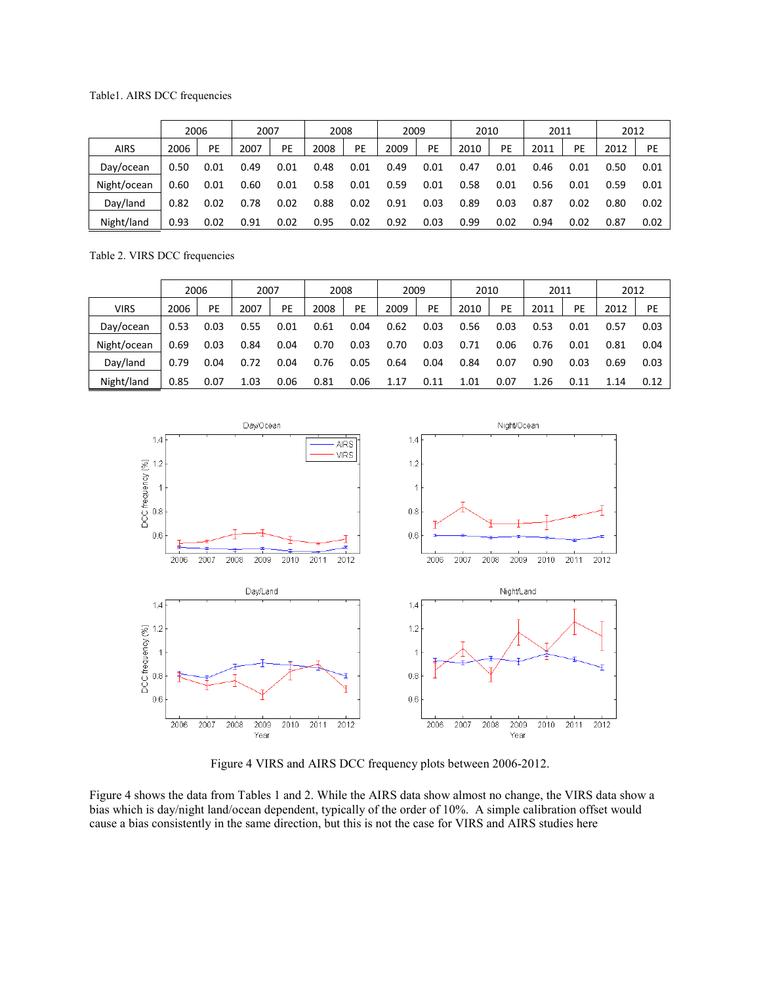## Table1. AIRS DCC frequencies

|             | 2006 |      | 2007 |      | 2008 |      | 2009 |      | 2010 |      | 2011 |      | 2012 |      |
|-------------|------|------|------|------|------|------|------|------|------|------|------|------|------|------|
| <b>AIRS</b> | 2006 | PE   | 2007 | PE   | 2008 | PE   | 2009 | PE   | 2010 | PE   | 2011 | PE   | 2012 | PE   |
| Day/ocean   | 0.50 | 0.01 | 0.49 | 0.01 | 0.48 | 0.01 | 0.49 | 0.01 | 0.47 | 0.01 | 0.46 | 0.01 | 0.50 | 0.01 |
| Night/ocean | 0.60 | 0.01 | 0.60 | 0.01 | 0.58 | 0.01 | 0.59 | 0.01 | 0.58 | 0.01 | 0.56 | 0.01 | 0.59 | 0.01 |
| Dav/land    | 0.82 | 0.02 | 0.78 | 0.02 | 0.88 | 0.02 | 0.91 | 0.03 | 0.89 | 0.03 | 0.87 | 0.02 | 0.80 | 0.02 |
| Night/land  | 0.93 | 0.02 | 0.91 | 0.02 | 0.95 | 0.02 | 0.92 | 0.03 | 0.99 | 0.02 | 0.94 | 0.02 | 0.87 | 0.02 |

Table 2. VIRS DCC frequencies

|             | 2006 |      | 2007 |      | 2008 |      | 2009 |      | 2010 |      | 2011 |      | 2012 |      |
|-------------|------|------|------|------|------|------|------|------|------|------|------|------|------|------|
| <b>VIRS</b> | 2006 | PE   | 2007 | PE   | 2008 | PE   | 2009 | PE   | 2010 | PE   | 2011 | PE   | 2012 | PE   |
| Day/ocean   | 0.53 | 0.03 | 0.55 | 0.01 | 0.61 | 0.04 | 0.62 | 0.03 | 0.56 | 0.03 | 0.53 | 0.01 | 0.57 | 0.03 |
| Night/ocean | 0.69 | 0.03 | 0.84 | 0.04 | 0.70 | 0.03 | 0.70 | 0.03 | 0.71 | 0.06 | 0.76 | 0.01 | 0.81 | 0.04 |
| Day/land    | 0.79 | 0.04 | 0.72 | 0.04 | 0.76 | 0.05 | 0.64 | 0.04 | 0.84 | 0.07 | 0.90 | 0.03 | 0.69 | 0.03 |
| Night/land  | 0.85 | 0.07 | 1.03 | 0.06 | 0.81 | 0.06 | 1.17 | 0.11 | 1.01 | 0.07 | 1.26 | 0.11 | 1.14 | 0.12 |



Figure 4 VIRS and AIRS DCC frequency plots between 2006-2012.

Figure 4 shows the data from Tables 1 and 2. While the AIRS data show almost no change, the VIRS data show a bias which is day/night land/ocean dependent, typically of the order of 10%. A simple calibration offset would cause a bias consistently in the same direction, but this is not the case for VIRS and AIRS studies here